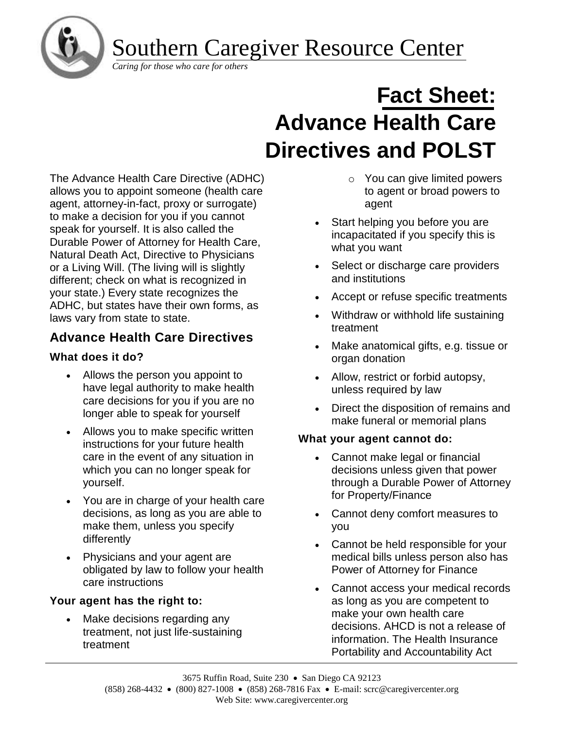

Southern Caregiver Resource Center

# **Fact Sheet: Advance Health Care Directives and POLST**

The Advance Health Care Directive (ADHC) allows you to appoint someone (health care agent, attorney-in-fact, proxy or surrogate) to make a decision for you if you cannot speak for yourself. It is also called the Durable Power of Attorney for Health Care, Natural Death Act, Directive to Physicians or a Living Will. (The living will is slightly different; check on what is recognized in your state.) Every state recognizes the ADHC, but states have their own forms, as laws vary from state to state.

# **Advance Health Care Directives**

## **What does it do?**

- Allows the person you appoint to have legal authority to make health care decisions for you if you are no longer able to speak for yourself
- Allows you to make specific written instructions for your future health care in the event of any situation in which you can no longer speak for yourself.
- You are in charge of your health care decisions, as long as you are able to make them, unless you specify differently
- Physicians and your agent are obligated by law to follow your health care instructions

## **Your agent has the right to:**

Make decisions regarding any treatment, not just life-sustaining treatment

- o You can give limited powers to agent or broad powers to agent
- Start helping you before you are incapacitated if you specify this is what you want
- Select or discharge care providers and institutions
- Accept or refuse specific treatments
- Withdraw or withhold life sustaining treatment
- Make anatomical gifts, e.g. tissue or organ donation
- Allow, restrict or forbid autopsy, unless required by law
- Direct the disposition of remains and make funeral or memorial plans

## **What your agent cannot do:**

- Cannot make legal or financial decisions unless given that power through a Durable Power of Attorney for Property/Finance
- Cannot deny comfort measures to you
- Cannot be held responsible for your medical bills unless person also has Power of Attorney for Finance
- Cannot access your medical records as long as you are competent to make your own health care decisions. AHCD is not a release of information. The Health Insurance Portability and Accountability Act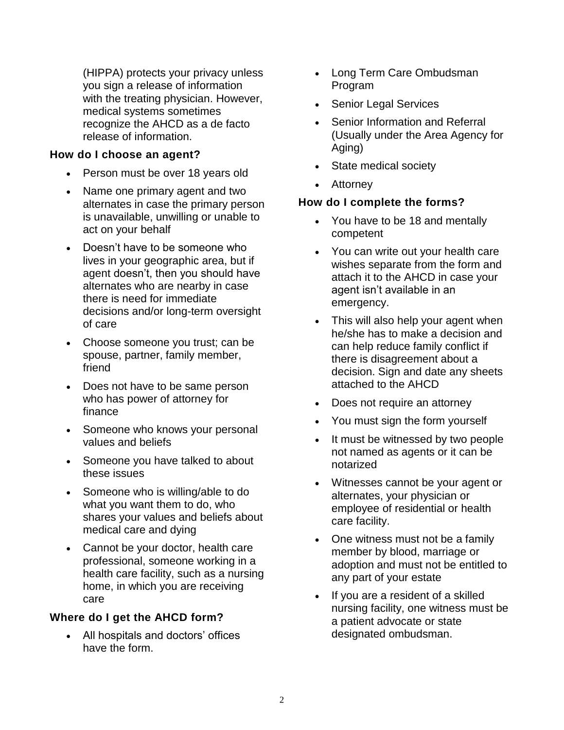(HIPPA) protects your privacy unless you sign a release of information with the treating physician. However, medical systems sometimes recognize the AHCD as a de facto release of information.

### **How do I choose an agent?**

- Person must be over 18 years old
- Name one primary agent and two alternates in case the primary person is unavailable, unwilling or unable to act on your behalf
- Doesn't have to be someone who lives in your geographic area, but if agent doesn't, then you should have alternates who are nearby in case there is need for immediate decisions and/or long-term oversight of care
- Choose someone you trust; can be spouse, partner, family member, friend
- Does not have to be same person who has power of attorney for finance
- Someone who knows your personal values and beliefs
- Someone you have talked to about these issues
- Someone who is willing/able to do what you want them to do, who shares your values and beliefs about medical care and dying
- Cannot be your doctor, health care professional, someone working in a health care facility, such as a nursing home, in which you are receiving care

## **Where do I get the AHCD form?**

• All hospitals and doctors' offices have the form.

- Long Term Care Ombudsman Program
- Senior Legal Services
- Senior Information and Referral (Usually under the Area Agency for Aging)
- State medical society
- Attorney

## **How do I complete the forms?**

- You have to be 18 and mentally competent
- You can write out your health care wishes separate from the form and attach it to the AHCD in case your agent isn't available in an emergency.
- This will also help your agent when he/she has to make a decision and can help reduce family conflict if there is disagreement about a decision. Sign and date any sheets attached to the AHCD
- Does not require an attorney
- You must sign the form yourself
- It must be witnessed by two people not named as agents or it can be notarized
- Witnesses cannot be your agent or alternates, your physician or employee of residential or health care facility.
- One witness must not be a family member by blood, marriage or adoption and must not be entitled to any part of your estate
- If you are a resident of a skilled nursing facility, one witness must be a patient advocate or state designated ombudsman.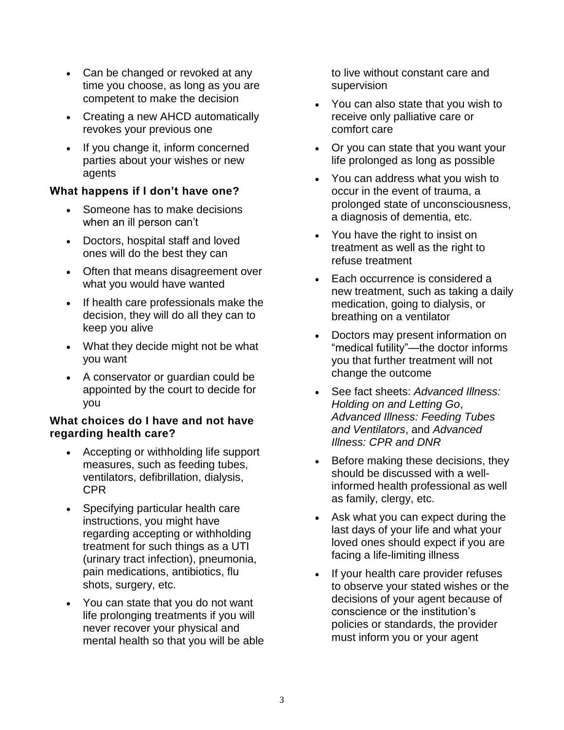- Can be changed or revoked at any time you choose, as long as you are competent to make the decision
- Creating a new AHCD automatically revokes your previous one
- If you change it, inform concerned parties about your wishes or new agents

## **What happens if I don't have one?**

- Someone has to make decisions when an ill person can't
- Doctors, hospital staff and loved ones will do the best they can
- Often that means disagreement over what you would have wanted
- If health care professionals make the decision, they will do all they can to keep you alive
- What they decide might not be what you want
- A conservator or guardian could be appointed by the court to decide for you

### **What choices do I have and not have regarding health care?**

- Accepting or withholding life support measures, such as feeding tubes, ventilators, defibrillation, dialysis, CPR
- Specifying particular health care instructions, you might have regarding accepting or withholding treatment for such things as a UTI (urinary tract infection), pneumonia, pain medications, antibiotics, flu shots, surgery, etc.
- You can state that you do not want life prolonging treatments if you will never recover your physical and mental health so that you will be able

to live without constant care and supervision

- You can also state that you wish to receive only palliative care or comfort care
- Or you can state that you want your life prolonged as long as possible
- You can address what you wish to occur in the event of trauma, a prolonged state of unconsciousness, a diagnosis of dementia, etc.
- You have the right to insist on treatment as well as the right to refuse treatment
- Each occurrence is considered a new treatment, such as taking a daily medication, going to dialysis, or breathing on a ventilator
- Doctors may present information on "medical futility"—the doctor informs you that further treatment will not change the outcome
- See fact sheets: *Advanced Illness: Holding on and Letting Go*, *Advanced Illness: Feeding Tubes and Ventilators*, and *Advanced Illness: CPR and DNR*
- Before making these decisions, they should be discussed with a wellinformed health professional as well as family, clergy, etc.
- Ask what you can expect during the last days of your life and what your loved ones should expect if you are facing a life-limiting illness
- If your health care provider refuses to observe your stated wishes or the decisions of your agent because of conscience or the institution's policies or standards, the provider must inform you or your agent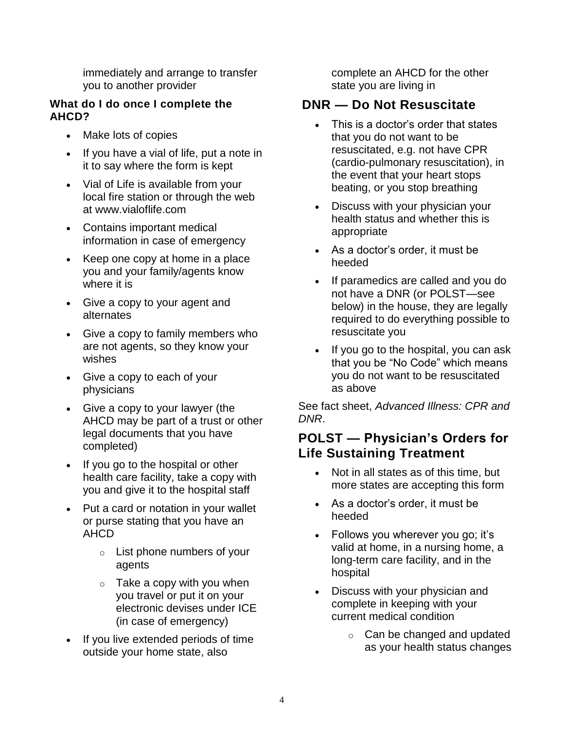immediately and arrange to transfer you to another provider

## **What do I do once I complete the AHCD?**

- Make lots of copies
- If you have a vial of life, put a note in it to say where the form is kept
- Vial of Life is available from your local fire station or through the web at www.vialoflife.com
- Contains important medical information in case of emergency
- Keep one copy at home in a place you and your family/agents know where it is
- Give a copy to your agent and alternates
- Give a copy to family members who are not agents, so they know your wishes
- Give a copy to each of your physicians
- Give a copy to your lawyer (the AHCD may be part of a trust or other legal documents that you have completed)
- If you go to the hospital or other health care facility, take a copy with you and give it to the hospital staff
- Put a card or notation in your wallet or purse stating that you have an AHCD
	- o List phone numbers of your agents
	- $\circ$  Take a copy with you when you travel or put it on your electronic devises under ICE (in case of emergency)
- If you live extended periods of time outside your home state, also

complete an AHCD for the other state you are living in

# **DNR — Do Not Resuscitate**

- This is a doctor's order that states that you do not want to be resuscitated, e.g. not have CPR (cardio-pulmonary resuscitation), in the event that your heart stops beating, or you stop breathing
- Discuss with your physician your health status and whether this is appropriate
- As a doctor's order, it must be heeded
- If paramedics are called and you do not have a DNR (or POLST—see below) in the house, they are legally required to do everything possible to resuscitate you
- If you go to the hospital, you can ask that you be "No Code" which means you do not want to be resuscitated as above

See fact sheet, *Advanced Illness: CPR and DNR*.

# **POLST — Physician's Orders for Life Sustaining Treatment**

- Not in all states as of this time, but more states are accepting this form
- As a doctor's order, it must be heeded
- Follows you wherever you go; it's valid at home, in a nursing home, a long-term care facility, and in the hospital
- Discuss with your physician and complete in keeping with your current medical condition
	- o Can be changed and updated as your health status changes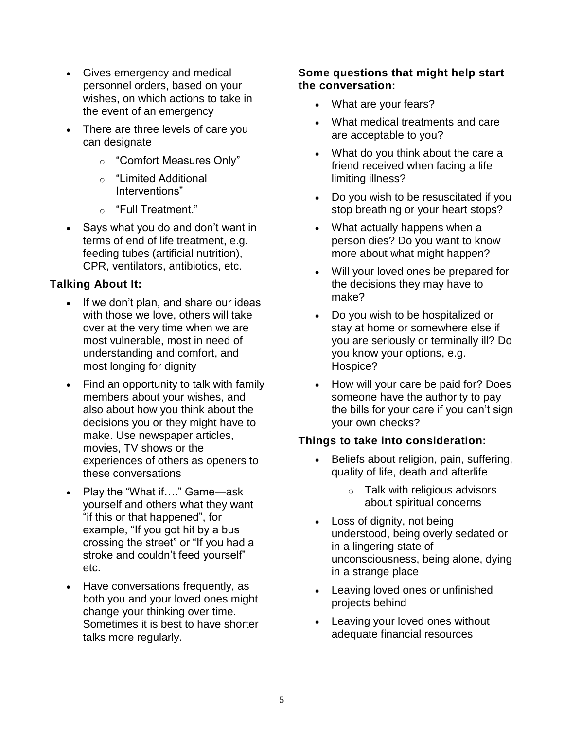- Gives emergency and medical personnel orders, based on your wishes, on which actions to take in the event of an emergency
- There are three levels of care you can designate
	- o "Comfort Measures Only"
	- o "Limited Additional Interventions"
	- o "Full Treatment."
- Says what you do and don't want in terms of end of life treatment, e.g. feeding tubes (artificial nutrition), CPR, ventilators, antibiotics, etc.

## **Talking About It:**

- If we don't plan, and share our ideas with those we love, others will take over at the very time when we are most vulnerable, most in need of understanding and comfort, and most longing for dignity
- Find an opportunity to talk with family members about your wishes, and also about how you think about the decisions you or they might have to make. Use newspaper articles, movies, TV shows or the experiences of others as openers to these conversations
- Play the "What if...." Game—ask yourself and others what they want "if this or that happened", for example, "If you got hit by a bus crossing the street" or "If you had a stroke and couldn't feed yourself" etc.
- Have conversations frequently, as both you and your loved ones might change your thinking over time. Sometimes it is best to have shorter talks more regularly.

#### **Some questions that might help start the conversation:**

- What are your fears?
- What medical treatments and care are acceptable to you?
- What do you think about the care a friend received when facing a life limiting illness?
- Do you wish to be resuscitated if you stop breathing or your heart stops?
- What actually happens when a person dies? Do you want to know more about what might happen?
- Will your loved ones be prepared for the decisions they may have to make?
- Do you wish to be hospitalized or stay at home or somewhere else if you are seriously or terminally ill? Do you know your options, e.g. Hospice?
- How will your care be paid for? Does someone have the authority to pay the bills for your care if you can't sign your own checks?

## **Things to take into consideration:**

- Beliefs about religion, pain, suffering, quality of life, death and afterlife
	- $\circ$  Talk with religious advisors about spiritual concerns
- Loss of dignity, not being understood, being overly sedated or in a lingering state of unconsciousness, being alone, dying in a strange place
- Leaving loved ones or unfinished projects behind
- Leaving your loved ones without adequate financial resources